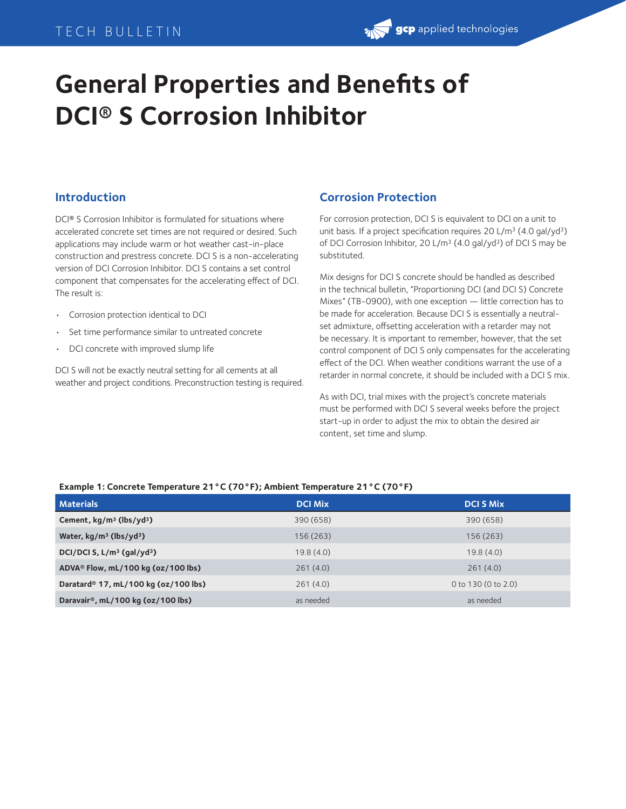# TECH BULLETIN

# **gcp** applied technologies

# **General Properties and Benefits of DCI® S Corrosion Inhibitor**

## **Introduction**

DCI® S Corrosion Inhibitor is formulated for situations where accelerated concrete set times are not required or desired. Such applications may include warm or hot weather cast-in-place construction and prestress concrete. DCI S is a non-accelerating version of DCI Corrosion Inhibitor. DCI S contains a set control component that compensates for the accelerating effect of DCI. The result is:

- Corrosion protection identical to DCI
- Set time performance similar to untreated concrete
- DCI concrete with improved slump life

DCI S will not be exactly neutral setting for all cements at all weather and project conditions. Preconstruction testing is required.

## **Corrosion Protection**

For corrosion protection, DCI S is equivalent to DCI on a unit to unit basis. If a project specification requires 20 L/m<sup>3</sup> (4.0 gal/yd<sup>3</sup>) of DCI Corrosion Inhibitor, 20 L/m3 (4.0 gal/yd3) of DCI S may be substituted.

Mix designs for DCI S concrete should be handled as described in the technical bulletin, "Proportioning DCI (and DCI S) Concrete Mixes" (TB-0900), with one exception — little correction has to be made for acceleration. Because DCI S is essentially a neutralset admixture, offsetting acceleration with a retarder may not be necessary. It is important to remember, however, that the set control component of DCI S only compensates for the accelerating effect of the DCI. When weather conditions warrant the use of a retarder in normal concrete, it should be included with a DCI S mix.

As with DCI, trial mixes with the project's concrete materials must be performed with DCI S several weeks before the project start-up in order to adjust the mix to obtain the desired air content, set time and slump.

### **Example 1: Concrete Temperature 21°C (70°F); Ambient Temperature 21°C (70°F)**

| <b>Materials</b>                                 | <b>DCI Mix</b> | <b>DCI S Mix</b>    |
|--------------------------------------------------|----------------|---------------------|
| Cement, $kg/m^3$ (lbs/yd <sup>3</sup> )          | 390 (658)      | 390 (658)           |
| Water, $kg/m^3$ (lbs/yd <sup>3</sup> )           | 156 (263)      | 156 (263)           |
| DCI/DCI S, $L/m^3$ (gal/yd <sup>3</sup> )        | 19.8(4.0)      | 19.8(4.0)           |
| ADVA® Flow, mL/100 kg (oz/100 lbs)               | 261(4.0)       | 261(4.0)            |
| Daratard <sup>®</sup> 17, mL/100 kg (oz/100 lbs) | 261(4.0)       | 0 to 130 (0 to 2.0) |
| Daravair <sup>®</sup> , mL/100 kg (oz/100 lbs)   | as needed      | as needed           |